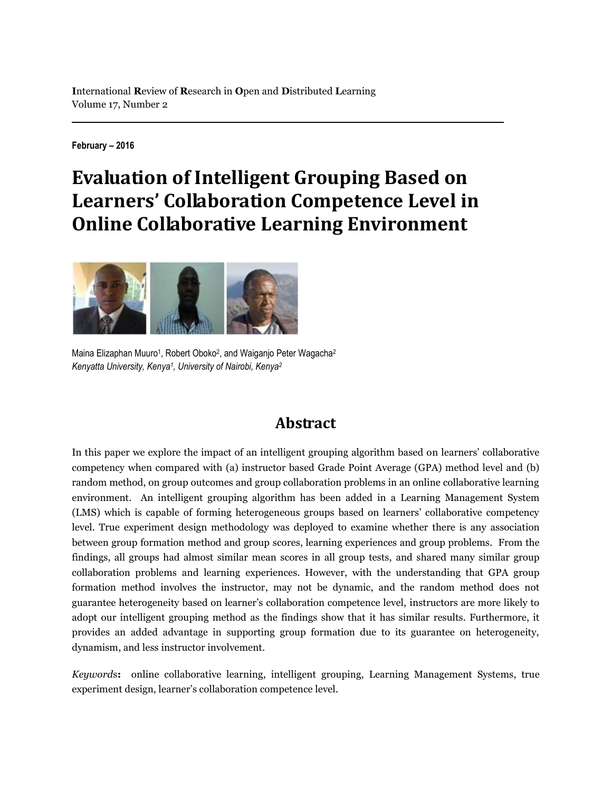**I**nternational **R**eview of **R**esearch in **O**pen and **D**istributed **L**earning Volume 17, Number 2

**February – 2016**

# **Evaluation of Intelligent Grouping Based on Learners' Collaboration Competence Level in Online Collaborative Learning Environment**



Maina Elizaphan Muuro<sup>1</sup>, Robert Oboko<sup>2</sup>, and Waiganjo Peter Wagacha<sup>2</sup> *Kenyatta University, Kenya<sup>1</sup> , University of Nairobi, Kenya<sup>2</sup>*

# **Abstract**

In this paper we explore the impact of an intelligent grouping algorithm based on learners' collaborative competency when compared with (a) instructor based Grade Point Average (GPA) method level and (b) random method, on group outcomes and group collaboration problems in an online collaborative learning environment. An intelligent grouping algorithm has been added in a Learning Management System (LMS) which is capable of forming heterogeneous groups based on learners' collaborative competency level. True experiment design methodology was deployed to examine whether there is any association between group formation method and group scores, learning experiences and group problems. From the findings, all groups had almost similar mean scores in all group tests, and shared many similar group collaboration problems and learning experiences. However, with the understanding that GPA group formation method involves the instructor, may not be dynamic, and the random method does not guarantee heterogeneity based on learner's collaboration competence level, instructors are more likely to adopt our intelligent grouping method as the findings show that it has similar results. Furthermore, it provides an added advantage in supporting group formation due to its guarantee on heterogeneity, dynamism, and less instructor involvement.

*Keyword*s**:** online collaborative learning, intelligent grouping, Learning Management Systems, true experiment design, learner's collaboration competence level.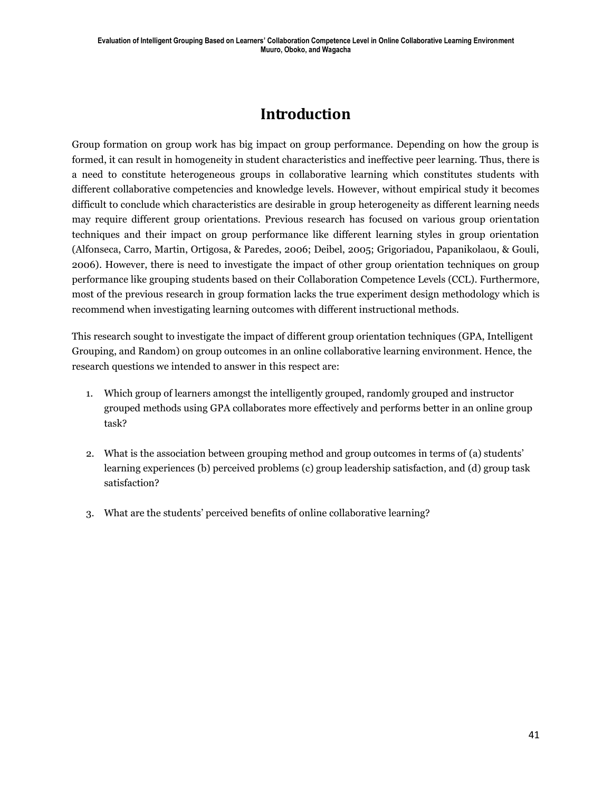# **Introduction**

Group formation on group work has big impact on group performance. Depending on how the group is formed, it can result in homogeneity in student characteristics and ineffective peer learning. Thus, there is a need to constitute heterogeneous groups in collaborative learning which constitutes students with different collaborative competencies and knowledge levels. However, without empirical study it becomes difficult to conclude which characteristics are desirable in group heterogeneity as different learning needs may require different group orientations. Previous research has focused on various group orientation techniques and their impact on group performance like different learning styles in group orientation (Alfonseca, Carro, Martin, Ortigosa, & Paredes, 2006; Deibel, 2005; Grigoriadou, Papanikolaou, & Gouli, 2006). However, there is need to investigate the impact of other group orientation techniques on group performance like grouping students based on their Collaboration Competence Levels (CCL). Furthermore, most of the previous research in group formation lacks the true experiment design methodology which is recommend when investigating learning outcomes with different instructional methods.

This research sought to investigate the impact of different group orientation techniques (GPA, Intelligent Grouping, and Random) on group outcomes in an online collaborative learning environment. Hence, the research questions we intended to answer in this respect are:

- 1. Which group of learners amongst the intelligently grouped, randomly grouped and instructor grouped methods using GPA collaborates more effectively and performs better in an online group task?
- 2. What is the association between grouping method and group outcomes in terms of (a) students' learning experiences (b) perceived problems (c) group leadership satisfaction, and (d) group task satisfaction?
- 3. What are the students' perceived benefits of online collaborative learning?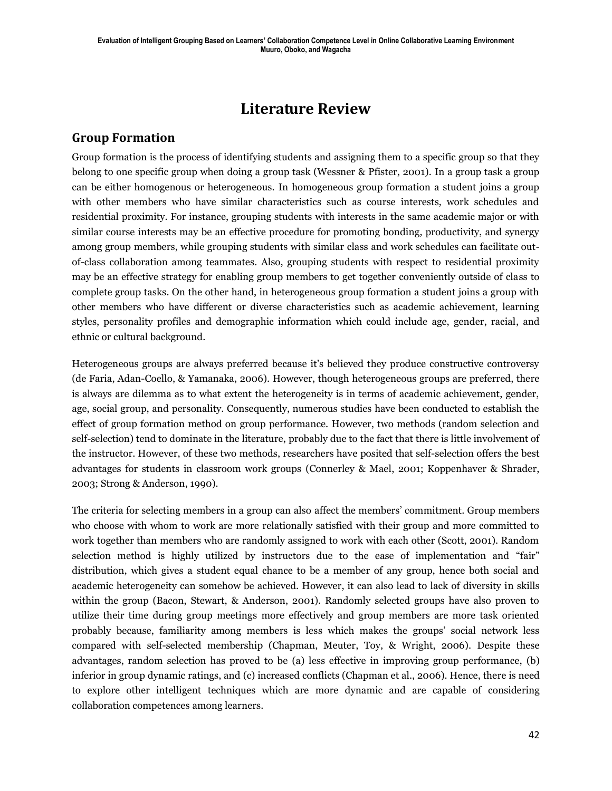# **Literature Review**

### **Group Formation**

Group formation is the process of identifying students and assigning them to a specific group so that they belong to one specific group when doing a group task (Wessner & Pfister, 2001). In a group task a group can be either homogenous or heterogeneous. In homogeneous group formation a student joins a group with other members who have similar characteristics such as course interests, work schedules and residential proximity. For instance, grouping students with interests in the same academic major or with similar course interests may be an effective procedure for promoting bonding, productivity, and synergy among group members, while grouping students with similar class and work schedules can facilitate outof-class collaboration among teammates. Also, grouping students with respect to residential proximity may be an effective strategy for enabling group members to get together conveniently outside of class to complete group tasks. On the other hand, in heterogeneous group formation a student joins a group with other members who have different or diverse characteristics such as academic achievement, learning styles, personality profiles and demographic information which could include age, gender, racial, and ethnic or cultural background.

Heterogeneous groups are always preferred because it's believed they produce constructive controversy (de Faria, Adan-Coello, & Yamanaka, 2006). However, though heterogeneous groups are preferred, there is always are dilemma as to what extent the heterogeneity is in terms of academic achievement, gender, age, social group, and personality. Consequently, numerous studies have been conducted to establish the effect of group formation method on group performance. However, two methods (random selection and self-selection) tend to dominate in the literature, probably due to the fact that there is little involvement of the instructor. However, of these two methods, researchers have posited that self-selection offers the best advantages for students in classroom work groups (Connerley & Mael, 2001; Koppenhaver & Shrader, 2003; Strong & Anderson, 1990).

The criteria for selecting members in a group can also affect the members' commitment. Group members who choose with whom to work are more relationally satisfied with their group and more committed to work together than members who are randomly assigned to work with each other (Scott, 2001). Random selection method is highly utilized by instructors due to the ease of implementation and "fair" distribution, which gives a student equal chance to be a member of any group, hence both social and academic heterogeneity can somehow be achieved. However, it can also lead to lack of diversity in skills within the group (Bacon, Stewart, & Anderson, 2001). Randomly selected groups have also proven to utilize their time during group meetings more effectively and group members are more task oriented probably because, familiarity among members is less which makes the groups' social network less compared with self-selected membership (Chapman, Meuter, Toy, & Wright, 2006). Despite these advantages, random selection has proved to be (a) less effective in improving group performance, (b) inferior in group dynamic ratings, and (c) increased conflicts (Chapman et al., 2006). Hence, there is need to explore other intelligent techniques which are more dynamic and are capable of considering collaboration competences among learners.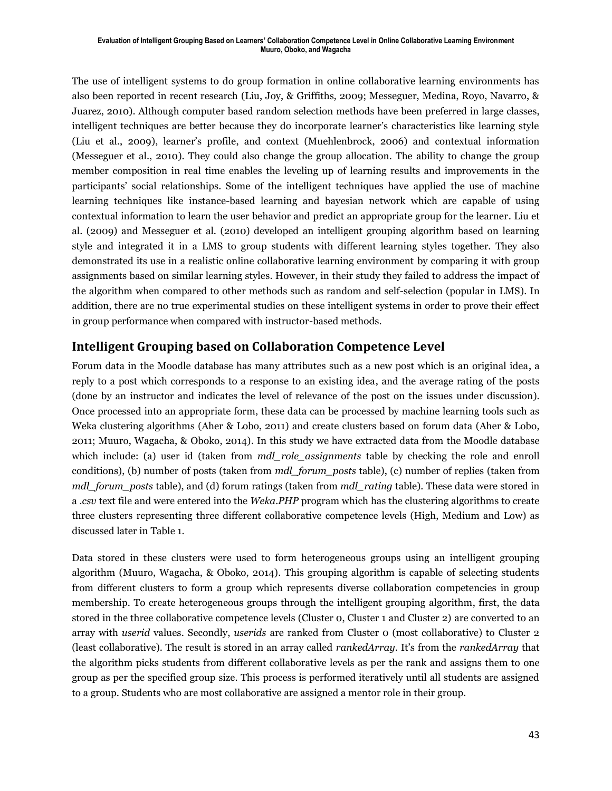The use of intelligent systems to do group formation in online collaborative learning environments has also been reported in recent research (Liu, Joy, & Griffiths, 2009; Messeguer, Medina, Royo, Navarro, & Juarez, 2010). Although computer based random selection methods have been preferred in large classes, intelligent techniques are better because they do incorporate learner's characteristics like learning style (Liu et al., 2009), learner's profile, and context (Muehlenbrock, 2006) and contextual information (Messeguer et al., 2010). They could also change the group allocation. The ability to change the group member composition in real time enables the leveling up of learning results and improvements in the participants' social relationships. Some of the intelligent techniques have applied the use of machine learning techniques like instance-based learning and bayesian network which are capable of using contextual information to learn the user behavior and predict an appropriate group for the learner. Liu et al. (2009) and Messeguer et al. (2010) developed an intelligent grouping algorithm based on learning style and integrated it in a LMS to group students with different learning styles together. They also demonstrated its use in a realistic online collaborative learning environment by comparing it with group assignments based on similar learning styles. However, in their study they failed to address the impact of the algorithm when compared to other methods such as random and self-selection (popular in LMS). In addition, there are no true experimental studies on these intelligent systems in order to prove their effect in group performance when compared with instructor-based methods.

### **Intelligent Grouping based on Collaboration Competence Level**

Forum data in the Moodle database has many attributes such as a new post which is an original idea, a reply to a post which corresponds to a response to an existing idea, and the average rating of the posts (done by an instructor and indicates the level of relevance of the post on the issues under discussion). Once processed into an appropriate form, these data can be processed by machine learning tools such as Weka clustering algorithms (Aher & Lobo, 2011) and create clusters based on forum data (Aher & Lobo, 2011; Muuro, Wagacha, & Oboko, 2014). In this study we have extracted data from the Moodle database which include: (a) user id (taken from *mdl\_role\_assignments* table by checking the role and enroll conditions), (b) number of posts (taken from *mdl\_forum\_posts* table), (c) number of replies (taken from *mdl\_forum\_posts* table), and (d) forum ratings (taken from *mdl\_rating* table). These data were stored in a *.csv* text file and were entered into the *Weka.PHP* program which has the clustering algorithms to create three clusters representing three different collaborative competence levels (High, Medium and Low) as discussed later in Table 1.

Data stored in these clusters were used to form heterogeneous groups using an intelligent grouping algorithm (Muuro, Wagacha, & Oboko, 2014). This grouping algorithm is capable of selecting students from different clusters to form a group which represents diverse collaboration competencies in group membership. To create heterogeneous groups through the intelligent grouping algorithm, first, the data stored in the three collaborative competence levels (Cluster 0, Cluster 1 and Cluster 2) are converted to an array with *userid* values. Secondly, *userids* are ranked from Cluster 0 (most collaborative) to Cluster 2 (least collaborative). The result is stored in an array called *rankedArray*. It's from the *rankedArray* that the algorithm picks students from different collaborative levels as per the rank and assigns them to one group as per the specified group size. This process is performed iteratively until all students are assigned to a group. Students who are most collaborative are assigned a mentor role in their group.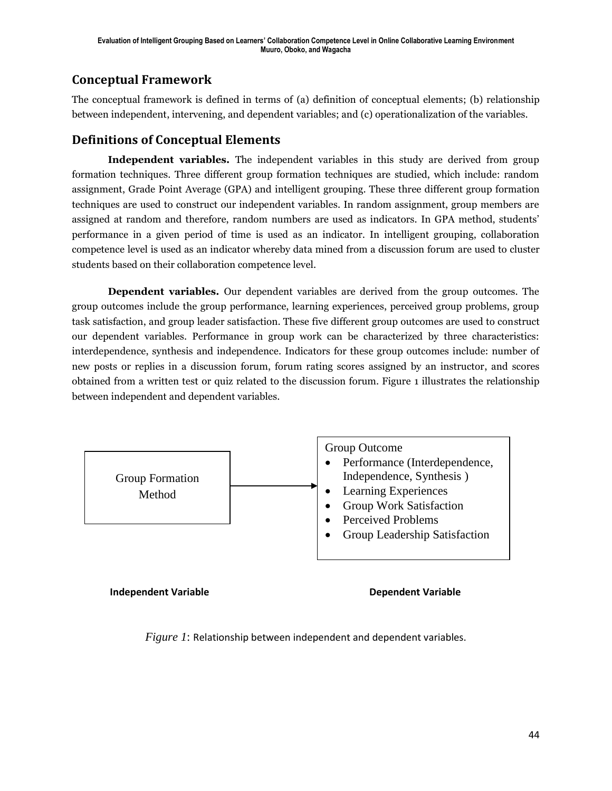## **Conceptual Framework**

The conceptual framework is defined in terms of (a) definition of conceptual elements; (b) relationship between independent, intervening, and dependent variables; and (c) operationalization of the variables.

### **Definitions of Conceptual Elements**

**Independent variables.** The independent variables in this study are derived from group formation techniques. Three different group formation techniques are studied, which include: random assignment, Grade Point Average (GPA) and intelligent grouping. These three different group formation techniques are used to construct our independent variables. In random assignment, group members are assigned at random and therefore, random numbers are used as indicators. In GPA method, students' performance in a given period of time is used as an indicator. In intelligent grouping, collaboration competence level is used as an indicator whereby data mined from a discussion forum are used to cluster students based on their collaboration competence level.

**Dependent variables.** Our dependent variables are derived from the group outcomes. The group outcomes include the group performance, learning experiences, perceived group problems, group task satisfaction, and group leader satisfaction. These five different group outcomes are used to construct our dependent variables. Performance in group work can be characterized by three characteristics: interdependence, synthesis and independence. Indicators for these group outcomes include: number of new posts or replies in a discussion forum, forum rating scores assigned by an instructor, and scores obtained from a written test or quiz related to the discussion forum. Figure 1 illustrates the relationship between independent and dependent variables.



*Figure 1*: Relationship between independent and dependent variables.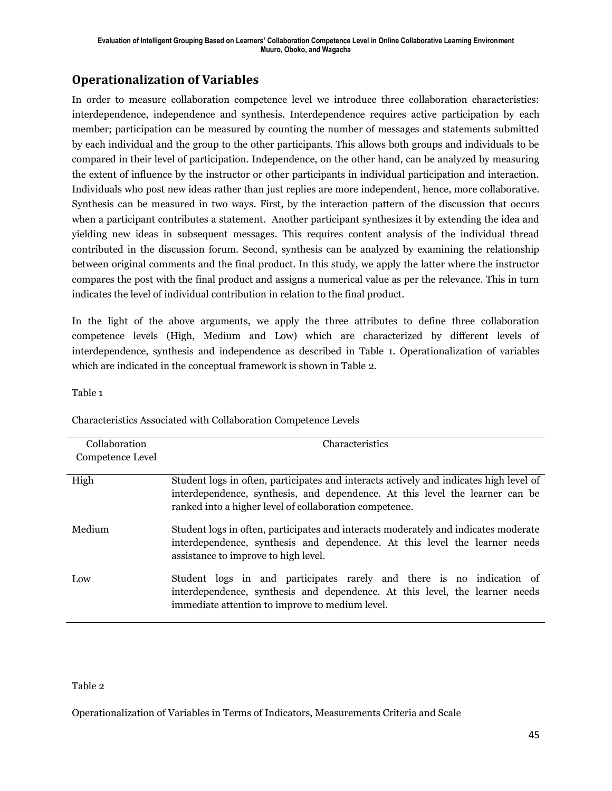### **Operationalization of Variables**

In order to measure collaboration competence level we introduce three collaboration characteristics: interdependence, independence and synthesis. Interdependence requires active participation by each member; participation can be measured by counting the number of messages and statements submitted by each individual and the group to the other participants. This allows both groups and individuals to be compared in their level of participation. Independence, on the other hand, can be analyzed by measuring the extent of influence by the instructor or other participants in individual participation and interaction. Individuals who post new ideas rather than just replies are more independent, hence, more collaborative. Synthesis can be measured in two ways. First, by the interaction pattern of the discussion that occurs when a participant contributes a statement. Another participant synthesizes it by extending the idea and yielding new ideas in subsequent messages. This requires content analysis of the individual thread contributed in the discussion forum. Second, synthesis can be analyzed by examining the relationship between original comments and the final product. In this study, we apply the latter where the instructor compares the post with the final product and assigns a numerical value as per the relevance. This in turn indicates the level of individual contribution in relation to the final product.

In the light of the above arguments, we apply the three attributes to define three collaboration competence levels (High, Medium and Low) which are characterized by different levels of interdependence, synthesis and independence as described in Table 1. Operationalization of variables which are indicated in the conceptual framework is shown in Table 2.

Table 1

Characteristics Associated with Collaboration Competence Levels

| Collaboration    | Characteristics                                                                                                                                                                                                                   |
|------------------|-----------------------------------------------------------------------------------------------------------------------------------------------------------------------------------------------------------------------------------|
| Competence Level |                                                                                                                                                                                                                                   |
| High             | Student logs in often, participates and interacts actively and indicates high level of<br>interdependence, synthesis, and dependence. At this level the learner can be<br>ranked into a higher level of collaboration competence. |
| Medium           | Student logs in often, participates and interacts moderately and indicates moderate<br>interdependence, synthesis and dependence. At this level the learner needs<br>assistance to improve to high level.                         |
| Low              | Student logs in and participates rarely and there is no indication of<br>interdependence, synthesis and dependence. At this level, the learner needs<br>immediate attention to improve to medium level.                           |

### Table 2

Operationalization of Variables in Terms of Indicators, Measurements Criteria and Scale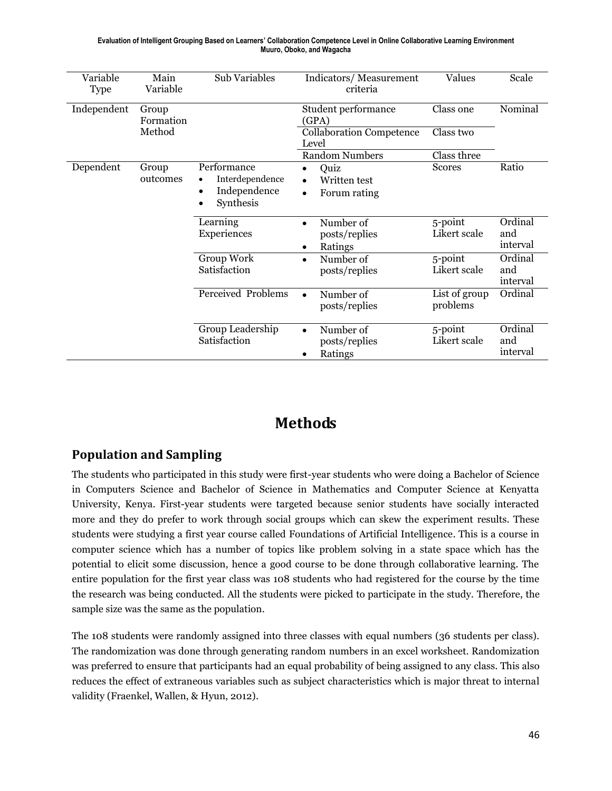| Variable<br><b>Type</b> | Main<br>Variable   | <b>Sub Variables</b>                                                                  | Indicators/Measurement<br>criteria                 | <b>Values</b>             | Scale                      |
|-------------------------|--------------------|---------------------------------------------------------------------------------------|----------------------------------------------------|---------------------------|----------------------------|
| Independent             | Group<br>Formation |                                                                                       | Student performance<br>(GPA)                       | Class one                 | Nominal                    |
|                         | Method             |                                                                                       | <b>Collaboration Competence</b><br>Level           | Class two                 |                            |
|                         |                    |                                                                                       | <b>Random Numbers</b>                              | Class three               |                            |
| Dependent               | Group<br>outcomes  | Performance<br>Interdependence<br>$\bullet$<br>Independence<br>$\bullet$<br>Synthesis | Quiz<br>Written test<br>Forum rating<br>$\bullet$  | <b>Scores</b>             | Ratio                      |
|                         |                    | Learning<br>Experiences                                                               | Number of<br>posts/replies<br>Ratings<br>$\bullet$ | 5-point<br>Likert scale   | Ordinal<br>and<br>interval |
|                         |                    | Group Work<br>Satisfaction                                                            | Number of<br>$\bullet$<br>posts/replies            | 5-point<br>Likert scale   | Ordinal<br>and<br>interval |
|                         |                    | Perceived Problems                                                                    | Number of<br>$\bullet$<br>posts/replies            | List of group<br>problems | Ordinal                    |
|                         |                    | Group Leadership<br>Satisfaction                                                      | Number of<br>posts/replies<br>Ratings<br>٠         | 5-point<br>Likert scale   | Ordinal<br>and<br>interval |

# **Methods**

## **Population and Sampling**

The students who participated in this study were first-year students who were doing a Bachelor of Science in Computers Science and Bachelor of Science in Mathematics and Computer Science at Kenyatta University, Kenya. First-year students were targeted because senior students have socially interacted more and they do prefer to work through social groups which can skew the experiment results. These students were studying a first year course called Foundations of Artificial Intelligence. This is a course in computer science which has a number of topics like problem solving in a state space which has the potential to elicit some discussion, hence a good course to be done through collaborative learning. The entire population for the first year class was 108 students who had registered for the course by the time the research was being conducted. All the students were picked to participate in the study. Therefore, the sample size was the same as the population.

The 108 students were randomly assigned into three classes with equal numbers (36 students per class). The randomization was done through generating random numbers in an excel worksheet. Randomization was preferred to ensure that participants had an equal probability of being assigned to any class. This also reduces the effect of extraneous variables such as subject characteristics which is major threat to internal validity (Fraenkel, Wallen, & Hyun, 2012).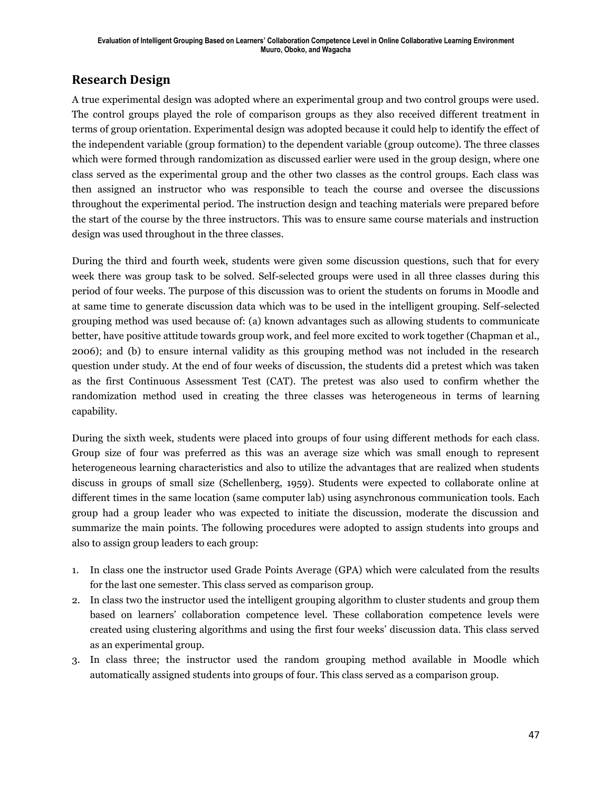### **Research Design**

A true experimental design was adopted where an experimental group and two control groups were used. The control groups played the role of comparison groups as they also received different treatment in terms of group orientation. Experimental design was adopted because it could help to identify the effect of the independent variable (group formation) to the dependent variable (group outcome). The three classes which were formed through randomization as discussed earlier were used in the group design, where one class served as the experimental group and the other two classes as the control groups. Each class was then assigned an instructor who was responsible to teach the course and oversee the discussions throughout the experimental period. The instruction design and teaching materials were prepared before the start of the course by the three instructors. This was to ensure same course materials and instruction design was used throughout in the three classes.

During the third and fourth week, students were given some discussion questions, such that for every week there was group task to be solved. Self-selected groups were used in all three classes during this period of four weeks. The purpose of this discussion was to orient the students on forums in Moodle and at same time to generate discussion data which was to be used in the intelligent grouping. Self-selected grouping method was used because of: (a) known advantages such as allowing students to communicate better, have positive attitude towards group work, and feel more excited to work together (Chapman et al., 2006); and (b) to ensure internal validity as this grouping method was not included in the research question under study. At the end of four weeks of discussion, the students did a pretest which was taken as the first Continuous Assessment Test (CAT). The pretest was also used to confirm whether the randomization method used in creating the three classes was heterogeneous in terms of learning capability.

During the sixth week, students were placed into groups of four using different methods for each class. Group size of four was preferred as this was an average size which was small enough to represent heterogeneous learning characteristics and also to utilize the advantages that are realized when students discuss in groups of small size (Schellenberg, 1959). Students were expected to collaborate online at different times in the same location (same computer lab) using asynchronous communication tools. Each group had a group leader who was expected to initiate the discussion, moderate the discussion and summarize the main points. The following procedures were adopted to assign students into groups and also to assign group leaders to each group:

- 1. In class one the instructor used Grade Points Average (GPA) which were calculated from the results for the last one semester. This class served as comparison group.
- 2. In class two the instructor used the intelligent grouping algorithm to cluster students and group them based on learners' collaboration competence level. These collaboration competence levels were created using clustering algorithms and using the first four weeks' discussion data. This class served as an experimental group.
- 3. In class three; the instructor used the random grouping method available in Moodle which automatically assigned students into groups of four. This class served as a comparison group.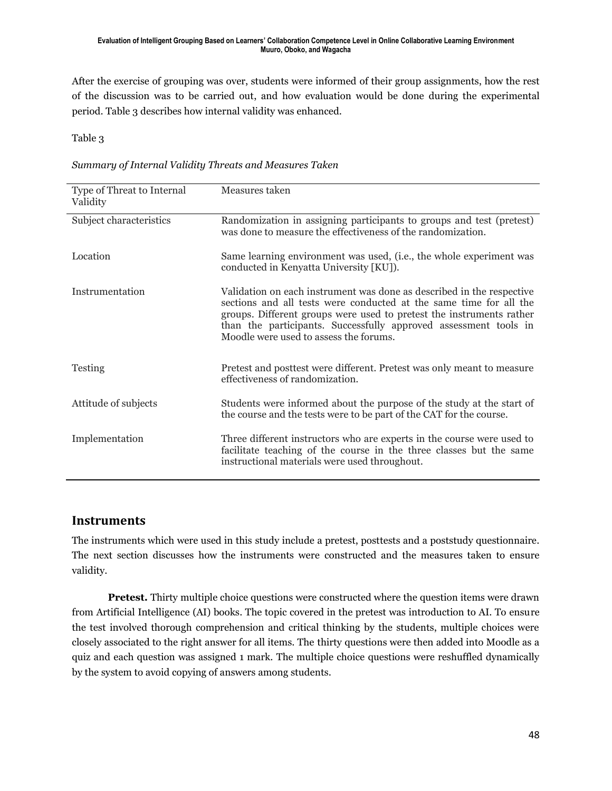After the exercise of grouping was over, students were informed of their group assignments, how the rest of the discussion was to be carried out, and how evaluation would be done during the experimental period. Table 3 describes how internal validity was enhanced.

Table 3

*Summary of Internal Validity Threats and Measures Taken*

| Type of Threat to Internal<br>Validity | Measures taken                                                                                                                                                                                                                                                                                                                    |
|----------------------------------------|-----------------------------------------------------------------------------------------------------------------------------------------------------------------------------------------------------------------------------------------------------------------------------------------------------------------------------------|
| Subject characteristics                | Randomization in assigning participants to groups and test (pretest)<br>was done to measure the effectiveness of the randomization.                                                                                                                                                                                               |
| Location                               | Same learning environment was used, (i.e., the whole experiment was<br>conducted in Kenyatta University [KU]).                                                                                                                                                                                                                    |
| Instrumentation                        | Validation on each instrument was done as described in the respective<br>sections and all tests were conducted at the same time for all the<br>groups. Different groups were used to pretest the instruments rather<br>than the participants. Successfully approved assessment tools in<br>Moodle were used to assess the forums. |
| Testing                                | Pretest and posttest were different. Pretest was only meant to measure<br>effectiveness of randomization.                                                                                                                                                                                                                         |
| Attitude of subjects                   | Students were informed about the purpose of the study at the start of<br>the course and the tests were to be part of the CAT for the course.                                                                                                                                                                                      |
| Implementation                         | Three different instructors who are experts in the course were used to<br>facilitate teaching of the course in the three classes but the same<br>instructional materials were used throughout.                                                                                                                                    |

### **Instruments**

The instruments which were used in this study include a pretest, posttests and a poststudy questionnaire. The next section discusses how the instruments were constructed and the measures taken to ensure validity.

**Pretest.** Thirty multiple choice questions were constructed where the question items were drawn from Artificial Intelligence (AI) books. The topic covered in the pretest was introduction to AI. To ensure the test involved thorough comprehension and critical thinking by the students, multiple choices were closely associated to the right answer for all items. The thirty questions were then added into Moodle as a quiz and each question was assigned 1 mark. The multiple choice questions were reshuffled dynamically by the system to avoid copying of answers among students.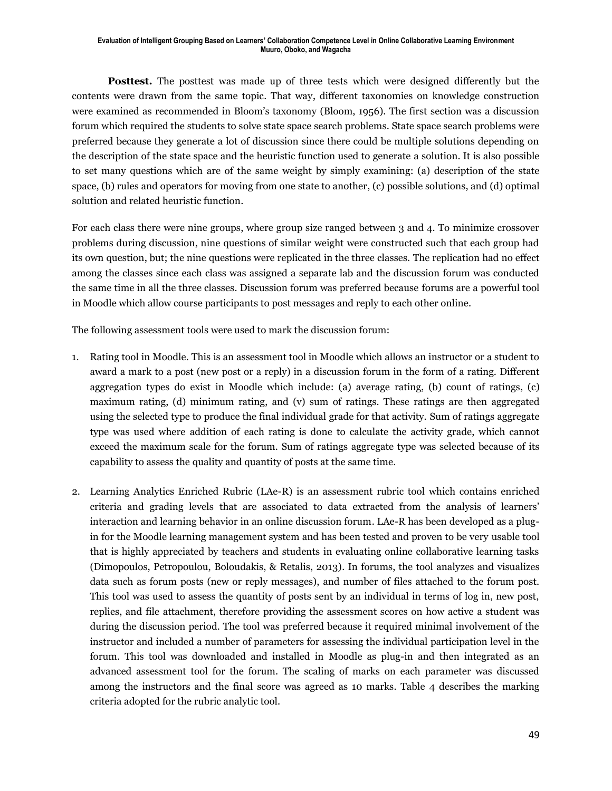**Posttest.** The posttest was made up of three tests which were designed differently but the contents were drawn from the same topic. That way, different taxonomies on knowledge construction were examined as recommended in Bloom's taxonomy (Bloom, 1956). The first section was a discussion forum which required the students to solve state space search problems. State space search problems were preferred because they generate a lot of discussion since there could be multiple solutions depending on the description of the state space and the heuristic function used to generate a solution. It is also possible to set many questions which are of the same weight by simply examining: (a) description of the state space, (b) rules and operators for moving from one state to another, (c) possible solutions, and (d) optimal solution and related heuristic function.

For each class there were nine groups, where group size ranged between 3 and 4. To minimize crossover problems during discussion, nine questions of similar weight were constructed such that each group had its own question, but; the nine questions were replicated in the three classes. The replication had no effect among the classes since each class was assigned a separate lab and the discussion forum was conducted the same time in all the three classes. Discussion forum was preferred because forums are a powerful tool in Moodle which allow course participants to post messages and reply to each other online.

The following assessment tools were used to mark the discussion forum:

- 1. Rating tool in Moodle. This is an assessment tool in Moodle which allows an instructor or a student to award a mark to a post (new post or a reply) in a discussion forum in the form of a rating. Different aggregation types do exist in Moodle which include: (a) average rating, (b) count of ratings, (c) maximum rating, (d) minimum rating, and (v) sum of ratings. These ratings are then aggregated using the selected type to produce the final individual grade for that activity. Sum of ratings aggregate type was used where addition of each rating is done to calculate the activity grade, which cannot exceed the maximum scale for the forum. Sum of ratings aggregate type was selected because of its capability to assess the quality and quantity of posts at the same time.
- 2. Learning Analytics Enriched Rubric (LAe-R) is an assessment rubric tool which contains enriched criteria and grading levels that are associated to data extracted from the analysis of learners' interaction and learning behavior in an online discussion forum. LAe-R has been developed as a plugin for the Moodle learning management system and has been tested and proven to be very usable tool that is highly appreciated by teachers and students in evaluating online collaborative learning tasks (Dimopoulos, Petropoulou, Boloudakis, & Retalis, 2013). In forums, the tool analyzes and visualizes data such as forum posts (new or reply messages), and number of files attached to the forum post. This tool was used to assess the quantity of posts sent by an individual in terms of log in, new post, replies, and file attachment, therefore providing the assessment scores on how active a student was during the discussion period. The tool was preferred because it required minimal involvement of the instructor and included a number of parameters for assessing the individual participation level in the forum. This tool was downloaded and installed in Moodle as plug-in and then integrated as an advanced assessment tool for the forum. The scaling of marks on each parameter was discussed among the instructors and the final score was agreed as 10 marks. Table 4 describes the marking criteria adopted for the rubric analytic tool.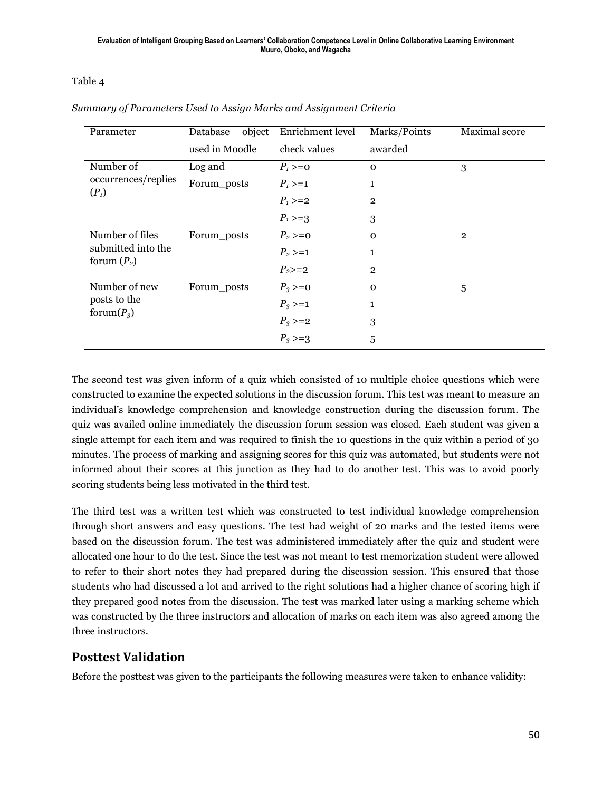### Table 4

| Parameter                     | Database       | object | Enrichment level | Marks/Points | Maximal score  |
|-------------------------------|----------------|--------|------------------|--------------|----------------|
|                               | used in Moodle |        | check values     | awarded      |                |
| Number of                     | Log and        |        | $P_1$ >=0        | $\mathbf{0}$ | 3              |
| occurrences/replies           | Forum_posts    |        | $P_1 > = 1$      | 1            |                |
| $(P_1)$                       |                |        | $P_1 > = 2$      | $\mathbf{2}$ |                |
|                               |                |        | $P_1 > = 3$      | 3            |                |
| Number of files               | Forum_posts    |        | $P_{2}$ >=0      | $\mathbf 0$  | $\overline{2}$ |
| submitted into the            |                |        | $P_2 > = 1$      |              |                |
| forum $(P_2)$                 |                |        | $P_2$ >=2        | $\mathbf{2}$ |                |
| Number of new                 | Forum_posts    |        | $P_3 > = 0$      | $\mathbf 0$  | 5              |
| posts to the<br>forum $(P_3)$ |                |        | $P_3 > 1$        | 1            |                |
|                               |                |        | $P_3 > = 2$      | 3            |                |
|                               |                |        | $P_3 > = 3$      | 5            |                |

### *Summary of Parameters Used to Assign Marks and Assignment Criteria*

The second test was given inform of a quiz which consisted of 10 multiple choice questions which were constructed to examine the expected solutions in the discussion forum. This test was meant to measure an individual's knowledge comprehension and knowledge construction during the discussion forum. The quiz was availed online immediately the discussion forum session was closed. Each student was given a single attempt for each item and was required to finish the 10 questions in the quiz within a period of 30 minutes. The process of marking and assigning scores for this quiz was automated, but students were not informed about their scores at this junction as they had to do another test. This was to avoid poorly scoring students being less motivated in the third test.

The third test was a written test which was constructed to test individual knowledge comprehension through short answers and easy questions. The test had weight of 20 marks and the tested items were based on the discussion forum. The test was administered immediately after the quiz and student were allocated one hour to do the test. Since the test was not meant to test memorization student were allowed to refer to their short notes they had prepared during the discussion session. This ensured that those students who had discussed a lot and arrived to the right solutions had a higher chance of scoring high if they prepared good notes from the discussion. The test was marked later using a marking scheme which was constructed by the three instructors and allocation of marks on each item was also agreed among the three instructors.

### **Posttest Validation**

Before the posttest was given to the participants the following measures were taken to enhance validity: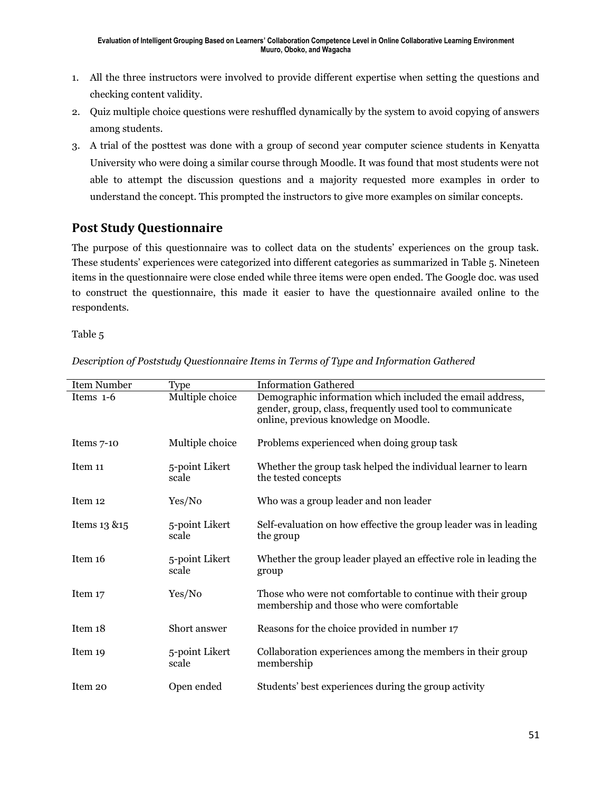- 1. All the three instructors were involved to provide different expertise when setting the questions and checking content validity.
- 2. Quiz multiple choice questions were reshuffled dynamically by the system to avoid copying of answers among students.
- 3. A trial of the posttest was done with a group of second year computer science students in Kenyatta University who were doing a similar course through Moodle. It was found that most students were not able to attempt the discussion questions and a majority requested more examples in order to understand the concept. This prompted the instructors to give more examples on similar concepts.

### **Post Study Questionnaire**

The purpose of this questionnaire was to collect data on the students' experiences on the group task. These students' experiences were categorized into different categories as summarized in Table 5. Nineteen items in the questionnaire were close ended while three items were open ended. The Google doc. was used to construct the questionnaire, this made it easier to have the questionnaire availed online to the respondents.

Table 5

| Item Number   | Type                    | <b>Information Gathered</b>                                                                                                                                     |
|---------------|-------------------------|-----------------------------------------------------------------------------------------------------------------------------------------------------------------|
| Items 1-6     | Multiple choice         | Demographic information which included the email address,<br>gender, group, class, frequently used tool to communicate<br>online, previous knowledge on Moodle. |
| Items 7-10    | Multiple choice         | Problems experienced when doing group task                                                                                                                      |
| Item 11       | 5-point Likert<br>scale | Whether the group task helped the individual learner to learn<br>the tested concepts                                                                            |
| Item 12       | Yes/No                  | Who was a group leader and non leader                                                                                                                           |
| Items 13 & 15 | 5-point Likert<br>scale | Self-evaluation on how effective the group leader was in leading<br>the group                                                                                   |
| Item 16       | 5-point Likert<br>scale | Whether the group leader played an effective role in leading the<br>group                                                                                       |
| Item 17       | Yes/No                  | Those who were not comfortable to continue with their group<br>membership and those who were comfortable                                                        |
| Item 18       | Short answer            | Reasons for the choice provided in number 17                                                                                                                    |
| Item 19       | 5-point Likert<br>scale | Collaboration experiences among the members in their group<br>membership                                                                                        |
| Item 20       | Open ended              | Students' best experiences during the group activity                                                                                                            |

*Description of Poststudy Questionnaire Items in Terms of Type and Information Gathered*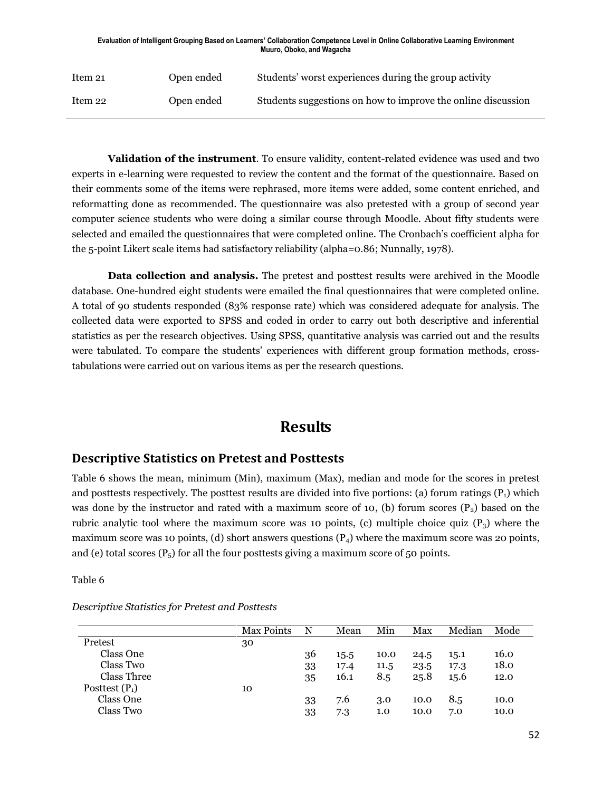| Item 21 | Open ended | Students' worst experiences during the group activity        |
|---------|------------|--------------------------------------------------------------|
| Item 22 | Open ended | Students suggestions on how to improve the online discussion |

**Validation of the instrument**. To ensure validity, content-related evidence was used and two experts in e-learning were requested to review the content and the format of the questionnaire. Based on their comments some of the items were rephrased, more items were added, some content enriched, and reformatting done as recommended. The questionnaire was also pretested with a group of second year computer science students who were doing a similar course through Moodle. About fifty students were selected and emailed the questionnaires that were completed online. The Cronbach's coefficient alpha for the 5-point Likert scale items had satisfactory reliability (alpha=0.86; Nunnally, 1978).

**Data collection and analysis.** The pretest and posttest results were archived in the Moodle database. One-hundred eight students were emailed the final questionnaires that were completed online. A total of 90 students responded (83% response rate) which was considered adequate for analysis. The collected data were exported to SPSS and coded in order to carry out both descriptive and inferential statistics as per the research objectives. Using SPSS, quantitative analysis was carried out and the results were tabulated. To compare the students' experiences with different group formation methods, crosstabulations were carried out on various items as per the research questions.

## **Results**

### **Descriptive Statistics on Pretest and Posttests**

Table 6 shows the mean, minimum (Min), maximum (Max), median and mode for the scores in pretest and posttests respectively. The posttest results are divided into five portions: (a) forum ratings  $(P_1)$  which was done by the instructor and rated with a maximum score of 10, (b) forum scores  $(P_2)$  based on the rubric analytic tool where the maximum score was 10 points, (c) multiple choice quiz  $(P_3)$  where the maximum score was 10 points, (d) short answers questions  $(P_4)$  where the maximum score was 20 points, and (e) total scores  $(P_5)$  for all the four posttests giving a maximum score of 50 points.

Table 6

|                  | Max Points | N  | Mean | Min  | Max  | Median | Mode |
|------------------|------------|----|------|------|------|--------|------|
| Pretest          | 30         |    |      |      |      |        |      |
| Class One        |            | 36 | 15.5 | 10.0 | 24.5 | 15.1   | 16.0 |
| Class Two        |            | 33 | 17.4 | 11.5 | 23.5 | 17.3   | 18.0 |
| Class Three      |            | 35 | 16.1 | 8.5  | 25.8 | 15.6   | 12.0 |
| Posttest $(P_1)$ | 10         |    |      |      |      |        |      |
| Class One        |            | 33 | 7.6  | 3.0  | 10.0 | 8.5    | 10.0 |
| Class Two        |            | 33 | 7.3  | 1.0  | 10.0 | 7.0    | 10.0 |

*Descriptive Statistics for Pretest and Posttests*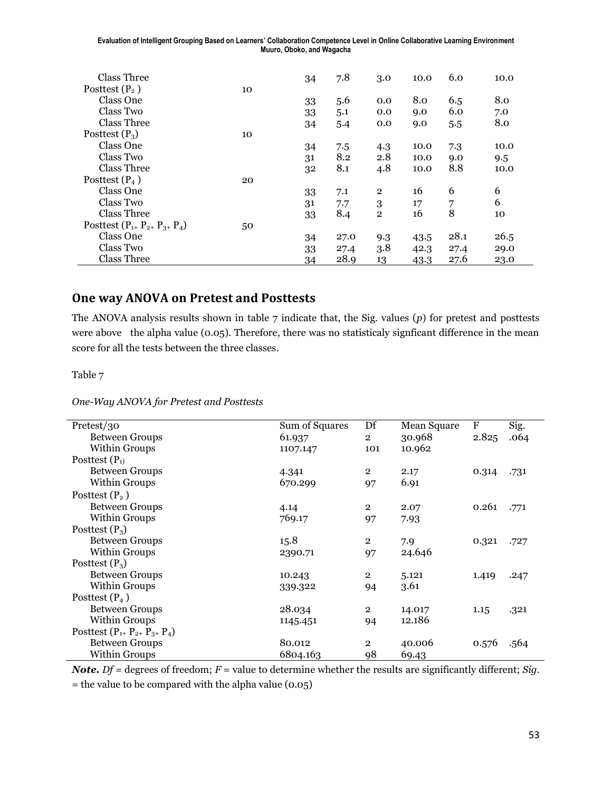| Class Three<br>Posttest $(P_2)$       | 10 | 34 | 7.8  | 3.0          | 10.0 | 6.0  | 10.0 |
|---------------------------------------|----|----|------|--------------|------|------|------|
| Class One                             |    |    | 5.6  | 0.0          | 8.0  | 6.5  | 8.0  |
| Class Two                             |    | 33 |      |              |      |      |      |
|                                       |    | 33 | 5.1  | 0.0          | 9.0  | 6.0  | 7.0  |
| Class Three                           |    | 34 | 5.4  | 0.0          | 9.0  | 5.5  | 8.0  |
| Posttest $(P_3)$                      | 10 |    |      |              |      |      |      |
| Class One                             |    | 34 | 7.5  | 4.3          | 10.0 | 7.3  | 10.0 |
| Class Two                             |    | 31 | 8.2  | 2.8          | 10.0 | 9.0  | 9.5  |
| Class Three                           |    | 32 | 8.1  | 4.8          | 10.0 | 8.8  | 10.0 |
| Posttest $(P_4)$                      | 20 |    |      |              |      |      |      |
| Class One                             |    | 33 | 7.1  | $\mathbf{2}$ | 16   | 6    | 6    |
| Class Two                             |    | 31 | 7.7  | 3            | 17   | 7    | 6    |
| Class Three                           |    | 33 | 8.4  | $\mathbf{2}$ | 16   | 8    | 10   |
| Posttest $(P_{1+} P_{2+} P_{3+} P_4)$ | 50 |    |      |              |      |      |      |
| Class One                             |    | 34 | 27.0 | 9.3          | 43.5 | 28.1 | 26.5 |
| Class Two                             |    | 33 | 27.4 | 3.8          | 42.3 | 27.4 | 29.0 |
| <b>Class Three</b>                    |    | 34 | 28.9 | 13           | 43.3 | 27.6 | 23.0 |

### **One way ANOVA on Pretest and Posttests**

The ANOVA analysis results shown in table 7 indicate that, the Sig. values (*p*) for pretest and posttests were above the alpha value (0.05). Therefore, there was no statisticaly signficant difference in the mean score for all the tests between the three classes.

Table 7

*One-Way ANOVA for Pretest and Posttests*

| Pretest/30                            | Sum of Squares | Df             | Mean Square | F     | Sig. |
|---------------------------------------|----------------|----------------|-------------|-------|------|
| <b>Between Groups</b>                 | 61.937         | $\mathbf{2}$   | 30.968      | 2.825 | .064 |
| <b>Within Groups</b>                  | 1107.147       | 101            | 10.962      |       |      |
| Posttest $(P_1)$                      |                |                |             |       |      |
| <b>Between Groups</b>                 | 4.341          | $\overline{2}$ | 2.17        | 0.314 | .731 |
| <b>Within Groups</b>                  | 670.299        | 97             | 6.91        |       |      |
| Posttest $(P_2)$                      |                |                |             |       |      |
| <b>Between Groups</b>                 | 4.14           | $\overline{2}$ | 2.07        | 0.261 | .771 |
| <b>Within Groups</b>                  | 769.17         | 97             | 7.93        |       |      |
| Posttest $(P_3)$                      |                |                |             |       |      |
| <b>Between Groups</b>                 | 15.8           | $\overline{2}$ | 7.9         | 0.321 | .727 |
| <b>Within Groups</b>                  | 2390.71        | 97             | 24.646      |       |      |
| Posttest $(P_3)$                      |                |                |             |       |      |
| <b>Between Groups</b>                 | 10.243         | $\overline{2}$ | 5.121       | 1.419 | .247 |
| <b>Within Groups</b>                  | 339.322        | 94             | 3.61        |       |      |
| Posttest $(P_4)$                      |                |                |             |       |      |
| <b>Between Groups</b>                 | 28.034         | $\overline{2}$ | 14.017      | 1.15  | .321 |
| <b>Within Groups</b>                  | 1145.451       | 94             | 12.186      |       |      |
| Posttest $(P_{1+} P_{2+} P_{3+} P_4)$ |                |                |             |       |      |
| <b>Between Groups</b>                 | 80.012         | $\overline{2}$ | 40.006      | 0.576 | .564 |
| Within Groups                         | 6804.163       | 98             | 69.43       |       |      |

*Note. Df* = degrees of freedom; *F* = value to determine whether the results are significantly different; *Sig*. = the value to be compared with the alpha value (0.05)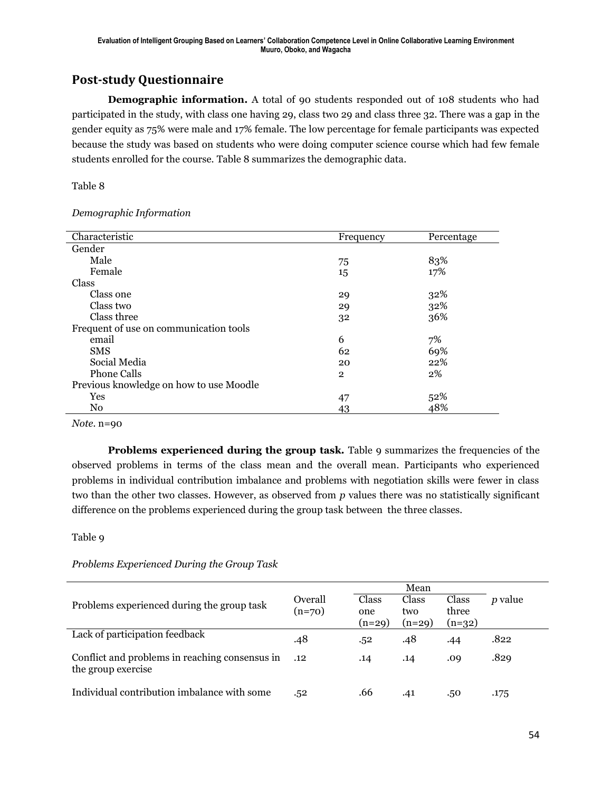## **Post-study Questionnaire**

**Demographic information.** A total of 90 students responded out of 108 students who had participated in the study, with class one having 29, class two 29 and class three 32. There was a gap in the gender equity as 75% were male and 17% female. The low percentage for female participants was expected because the study was based on students who were doing computer science course which had few female students enrolled for the course. Table 8 summarizes the demographic data.

Table 8

*Demographic Information*

| Characteristic                          | Frequency      | Percentage |
|-----------------------------------------|----------------|------------|
| Gender                                  |                |            |
| Male                                    | 75             | 83%        |
| Female                                  | 15             | 17%        |
| Class                                   |                |            |
| Class one                               | 29             | 32%        |
| Class two                               | 29             | 32%        |
| Class three                             | 32             | 36%        |
| Frequent of use on communication tools  |                |            |
| email                                   | 6              | 7%         |
| <b>SMS</b>                              | 62             | 69%        |
| Social Media                            | 20             | 22%        |
| <b>Phone Calls</b>                      | $\overline{2}$ | 2%         |
| Previous knowledge on how to use Moodle |                |            |
| Yes                                     | 47             | 52%        |
| No                                      | 43             | 48%        |

*Note.* n=90

**Problems experienced during the group task.** Table 9 summarizes the frequencies of the observed problems in terms of the class mean and the overall mean. Participants who experienced problems in individual contribution imbalance and problems with negotiation skills were fewer in class two than the other two classes. However, as observed from *p* values there was no statistically significant difference on the problems experienced during the group task between the three classes.

Table 9

*Problems Experienced During the Group Task*

|                                                                      |          |          | Mean     |          |                |
|----------------------------------------------------------------------|----------|----------|----------|----------|----------------|
| Problems experienced during the group task                           | Overall  | Class    | Class    | Class    | <i>p</i> value |
|                                                                      | $(n=70)$ | one      | two      | three    |                |
|                                                                      |          | $(n=29)$ | $(n=29)$ | $(n=32)$ |                |
| Lack of participation feedback                                       | .48      | .52      | .48      | .44      | .822           |
| Conflict and problems in reaching consensus in<br>the group exercise | .12      | .14      | .14      | .09      | .829           |
| Individual contribution imbalance with some                          | .52      | .66      | .41      | .50      | .175           |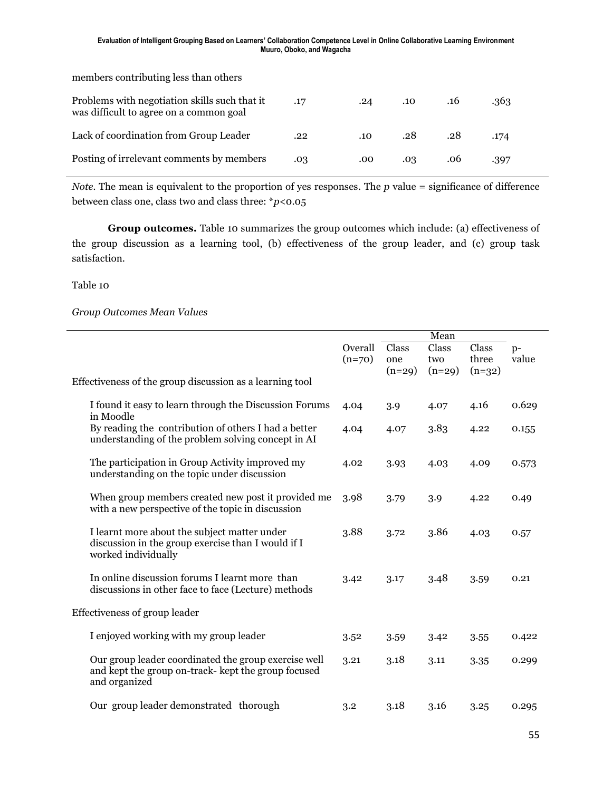| members contributing less than others                                                    |     |     |     |     |      |
|------------------------------------------------------------------------------------------|-----|-----|-----|-----|------|
| Problems with negotiation skills such that it<br>was difficult to agree on a common goal | .17 | .24 | .10 | .16 | .363 |
| Lack of coordination from Group Leader                                                   | .22 | .10 | .28 | .28 | .174 |
| Posting of irrelevant comments by members                                                | .03 | .00 | .03 | .06 | .397 |

*Note.* The mean is equivalent to the proportion of yes responses. The *p* value = significance of difference between class one, class two and class three: \**p*<0.05

**Group outcomes.** Table 10 summarizes the group outcomes which include: (a) effectiveness of the group discussion as a learning tool, (b) effectiveness of the group leader, and (c) group task satisfaction.

Table 10

### *Group Outcomes Mean Values*

|                                                                                                                              |                     | Mean                     |                          |                            |               |
|------------------------------------------------------------------------------------------------------------------------------|---------------------|--------------------------|--------------------------|----------------------------|---------------|
|                                                                                                                              | Overall<br>$(n=70)$ | Class<br>one<br>$(n=29)$ | Class<br>two<br>$(n=29)$ | Class<br>three<br>$(n=32)$ | $p-$<br>value |
| Effectiveness of the group discussion as a learning tool                                                                     |                     |                          |                          |                            |               |
| I found it easy to learn through the Discussion Forums<br>in Moodle                                                          | 4.04                | 3.9                      | 4.07                     | 4.16                       | 0.629         |
| By reading the contribution of others I had a better<br>understanding of the problem solving concept in AI                   | 4.04                | 4.07                     | 3.83                     | 4.22                       | 0.155         |
| The participation in Group Activity improved my<br>understanding on the topic under discussion                               | 4.02                | 3.93                     | 4.03                     | 4.09                       | 0.573         |
| When group members created new post it provided me<br>with a new perspective of the topic in discussion                      | 3.98                | 3.79                     | 3.9                      | 4.22                       | 0.49          |
| I learnt more about the subject matter under<br>discussion in the group exercise than I would if I<br>worked individually    | 3.88                | 3.72                     | 3.86                     | 4.03                       | 0.57          |
| In online discussion forums I learnt more than<br>discussions in other face to face (Lecture) methods                        | 3.42                | 3.17                     | 3.48                     | 3.59                       | 0.21          |
| Effectiveness of group leader                                                                                                |                     |                          |                          |                            |               |
| I enjoyed working with my group leader                                                                                       | 3.52                | 3.59                     | 3.42                     | 3.55                       | 0.422         |
| Our group leader coordinated the group exercise well<br>and kept the group on-track- kept the group focused<br>and organized | 3.21                | 3.18                     | 3.11                     | 3.35                       | 0.299         |
| Our group leader demonstrated thorough                                                                                       | 3.2                 | 3.18                     | 3.16                     | 3.25                       | 0.295         |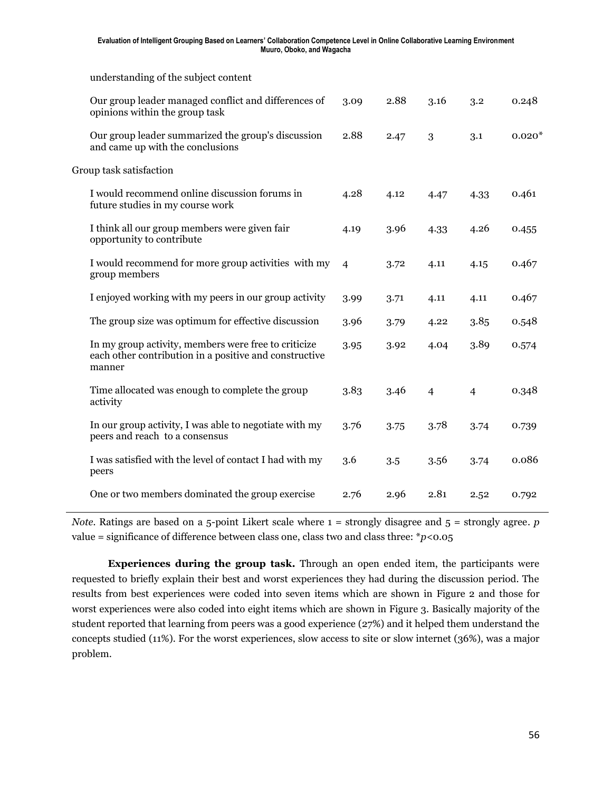|                         | understanding of the subject content                                                                                     |                |      |                |                |          |
|-------------------------|--------------------------------------------------------------------------------------------------------------------------|----------------|------|----------------|----------------|----------|
|                         | Our group leader managed conflict and differences of<br>opinions within the group task                                   | 3.09           | 2.88 | 3.16           | 3.2            | 0.248    |
|                         | Our group leader summarized the group's discussion<br>and came up with the conclusions                                   | 2.88           | 2.47 | 3              | 3.1            | $0.020*$ |
| Group task satisfaction |                                                                                                                          |                |      |                |                |          |
|                         | I would recommend online discussion forums in<br>future studies in my course work                                        | 4.28           | 4.12 | 4.47           | 4.33           | 0.461    |
|                         | I think all our group members were given fair<br>opportunity to contribute                                               | 4.19           | 3.96 | 4.33           | 4.26           | 0.455    |
|                         | I would recommend for more group activities with my<br>group members                                                     | $\overline{4}$ | 3.72 | 4.11           | 4.15           | 0.467    |
|                         | I enjoyed working with my peers in our group activity                                                                    | 3.99           | 3.71 | 4.11           | 4.11           | 0.467    |
|                         | The group size was optimum for effective discussion                                                                      | 3.96           | 3.79 | 4.22           | 3.85           | 0.548    |
|                         | In my group activity, members were free to criticize<br>each other contribution in a positive and constructive<br>manner | 3.95           | 3.92 | 4.04           | 3.89           | 0.574    |
|                         | Time allocated was enough to complete the group<br>activity                                                              | 3.83           | 3.46 | $\overline{4}$ | $\overline{4}$ | 0.348    |
|                         | In our group activity, I was able to negotiate with my<br>peers and reach to a consensus                                 | 3.76           | 3.75 | 3.78           | 3.74           | 0.739    |
|                         | I was satisfied with the level of contact I had with my<br>peers                                                         | 3.6            | 3.5  | 3.56           | 3.74           | 0.086    |
|                         | One or two members dominated the group exercise                                                                          | 2.76           | 2.96 | 2.81           | 2.52           | 0.792    |
|                         |                                                                                                                          |                |      |                |                |          |

*Note.* Ratings are based on a 5-point Likert scale where  $1 =$  strongly disagree and  $5 =$  strongly agree. *p* value = significance of difference between class one, class two and class three:  $\binom{*}{p}<0.05$ 

**Experiences during the group task.** Through an open ended item, the participants were requested to briefly explain their best and worst experiences they had during the discussion period. The results from best experiences were coded into seven items which are shown in Figure 2 and those for worst experiences were also coded into eight items which are shown in Figure 3. Basically majority of the student reported that learning from peers was a good experience (27%) and it helped them understand the concepts studied (11%). For the worst experiences, slow access to site or slow internet (36%), was a major problem.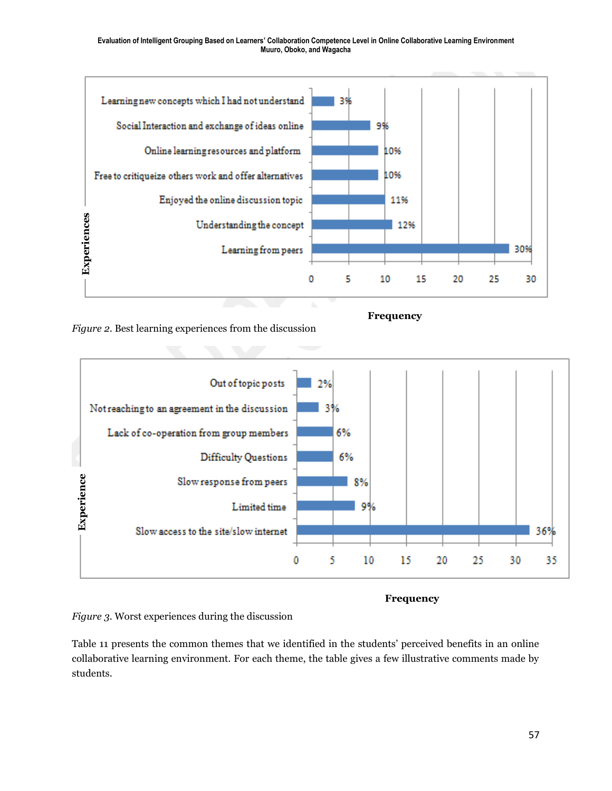

*Figure 2*. Best learning experiences from the discussion



**Frequency**

*Figure 3.* Worst experiences during the discussion

Table 11 presents the common themes that we identified in the students' perceived benefits in an online collaborative learning environment. For each theme, the table gives a few illustrative comments made by students.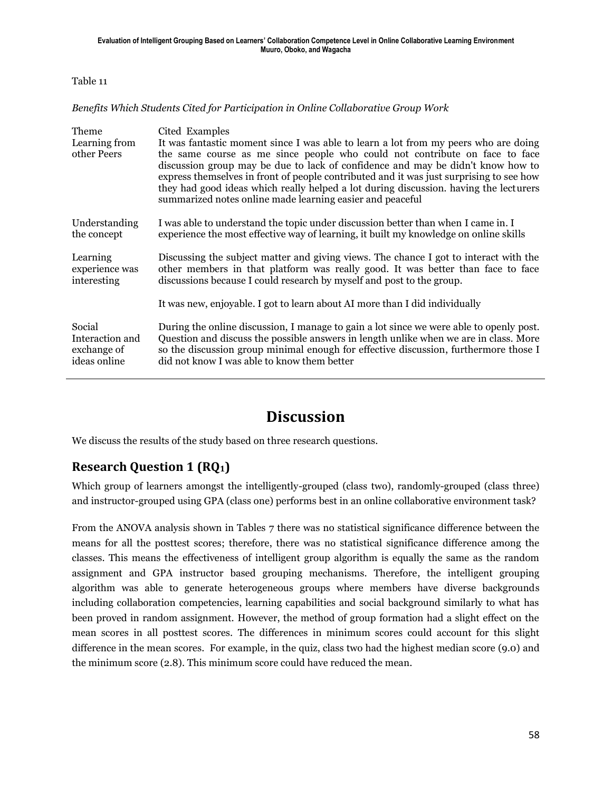Table 11

### *Benefits Which Students Cited for Participation in Online Collaborative Group Work*

| Theme<br>Learning from<br>other Peers | Cited Examples<br>It was fantastic moment since I was able to learn a lot from my peers who are doing<br>the same course as me since people who could not contribute on face to face<br>discussion group may be due to lack of confidence and may be didn't know how to<br>express themselves in front of people contributed and it was just surprising to see how<br>they had good ideas which really helped a lot during discussion. having the lecturers<br>summarized notes online made learning easier and peaceful |
|---------------------------------------|--------------------------------------------------------------------------------------------------------------------------------------------------------------------------------------------------------------------------------------------------------------------------------------------------------------------------------------------------------------------------------------------------------------------------------------------------------------------------------------------------------------------------|
| Understanding                         | I was able to understand the topic under discussion better than when I came in. I                                                                                                                                                                                                                                                                                                                                                                                                                                        |
| the concept                           | experience the most effective way of learning, it built my knowledge on online skills                                                                                                                                                                                                                                                                                                                                                                                                                                    |
| Learning                              | Discussing the subject matter and giving views. The chance I got to interact with the                                                                                                                                                                                                                                                                                                                                                                                                                                    |
| experience was                        | other members in that platform was really good. It was better than face to face                                                                                                                                                                                                                                                                                                                                                                                                                                          |
| interesting                           | discussions because I could research by myself and post to the group.                                                                                                                                                                                                                                                                                                                                                                                                                                                    |
|                                       | It was new, enjoyable. I got to learn about AI more than I did individually                                                                                                                                                                                                                                                                                                                                                                                                                                              |
| Social                                | During the online discussion, I manage to gain a lot since we were able to openly post.                                                                                                                                                                                                                                                                                                                                                                                                                                  |
| Interaction and                       | Question and discuss the possible answers in length unlike when we are in class. More                                                                                                                                                                                                                                                                                                                                                                                                                                    |
| exchange of                           | so the discussion group minimal enough for effective discussion, furthermore those I                                                                                                                                                                                                                                                                                                                                                                                                                                     |
| ideas online                          | did not know I was able to know them better                                                                                                                                                                                                                                                                                                                                                                                                                                                                              |

## **Discussion**

We discuss the results of the study based on three research questions.

### **Research Question 1 (RQ1)**

Which group of learners amongst the intelligently-grouped (class two), randomly-grouped (class three) and instructor-grouped using GPA (class one) performs best in an online collaborative environment task?

From the ANOVA analysis shown in Tables 7 there was no statistical significance difference between the means for all the posttest scores; therefore, there was no statistical significance difference among the classes. This means the effectiveness of intelligent group algorithm is equally the same as the random assignment and GPA instructor based grouping mechanisms. Therefore, the intelligent grouping algorithm was able to generate heterogeneous groups where members have diverse backgrounds including collaboration competencies, learning capabilities and social background similarly to what has been proved in random assignment. However, the method of group formation had a slight effect on the mean scores in all posttest scores. The differences in minimum scores could account for this slight difference in the mean scores. For example, in the quiz, class two had the highest median score (9.0) and the minimum score (2.8). This minimum score could have reduced the mean.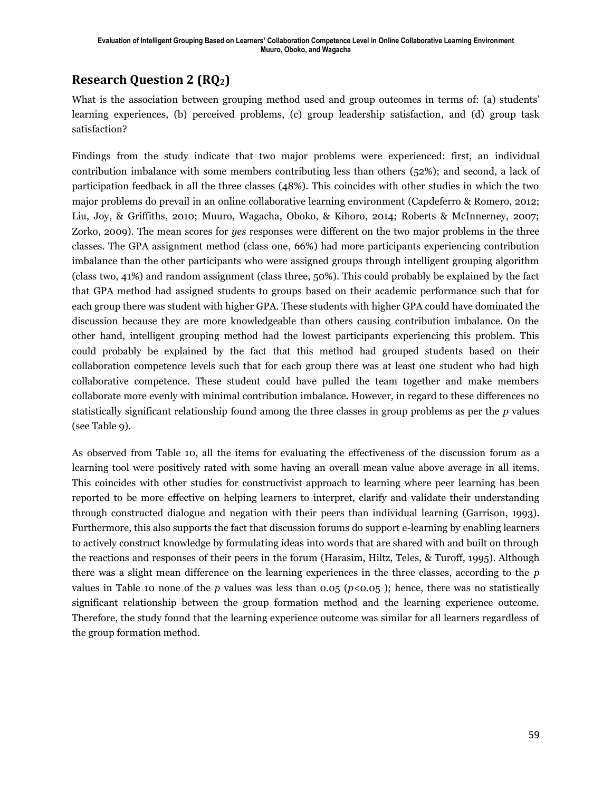## **Research Question 2 (RQ2)**

What is the association between grouping method used and group outcomes in terms of: (a) students' learning experiences, (b) perceived problems, (c) group leadership satisfaction, and (d) group task satisfaction?

Findings from the study indicate that two major problems were experienced: first, an individual contribution imbalance with some members contributing less than others (52%); and second, a lack of participation feedback in all the three classes (48%). This coincides with other studies in which the two major problems do prevail in an online collaborative learning environment (Capdeferro & Romero, 2012; Liu, Joy, & Griffiths, 2010; Muuro, Wagacha, Oboko, & Kihoro, 2014; Roberts & McInnerney, 2007; Zorko, 2009). The mean scores for *yes* responses were different on the two major problems in the three classes. The GPA assignment method (class one, 66%) had more participants experiencing contribution imbalance than the other participants who were assigned groups through intelligent grouping algorithm (class two, 41%) and random assignment (class three, 50%). This could probably be explained by the fact that GPA method had assigned students to groups based on their academic performance such that for each group there was student with higher GPA. These students with higher GPA could have dominated the discussion because they are more knowledgeable than others causing contribution imbalance. On the other hand, intelligent grouping method had the lowest participants experiencing this problem. This could probably be explained by the fact that this method had grouped students based on their collaboration competence levels such that for each group there was at least one student who had high collaborative competence. These student could have pulled the team together and make members collaborate more evenly with minimal contribution imbalance. However, in regard to these differences no statistically significant relationship found among the three classes in group problems as per the *p* values (see Table 9).

As observed from Table 10, all the items for evaluating the effectiveness of the discussion forum as a learning tool were positively rated with some having an overall mean value above average in all items. This coincides with other studies for constructivist approach to learning where peer learning has been reported to be more effective on helping learners to interpret, clarify and validate their understanding through constructed dialogue and negation with their peers than individual learning (Garrison, 1993). Furthermore, this also supports the fact that discussion forums do support e-learning by enabling learners to actively construct knowledge by formulating ideas into words that are shared with and built on through the reactions and responses of their peers in the forum (Harasim, Hiltz, Teles, & Turoff, 1995). Although there was a slight mean difference on the learning experiences in the three classes, according to the *p* values in Table 10 none of the *p* values was less than 0.05 (*p*<0.05 ); hence, there was no statistically significant relationship between the group formation method and the learning experience outcome. Therefore, the study found that the learning experience outcome was similar for all learners regardless of the group formation method.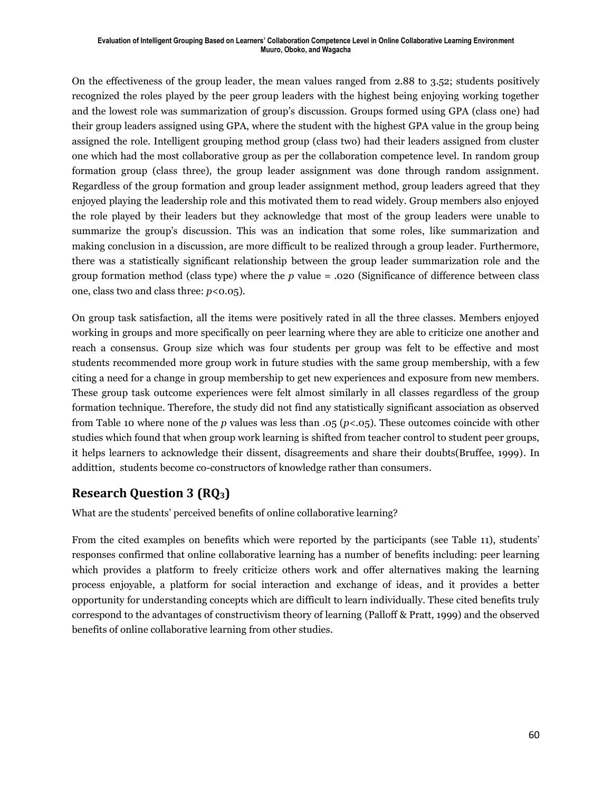On the effectiveness of the group leader, the mean values ranged from 2.88 to 3.52; students positively recognized the roles played by the peer group leaders with the highest being enjoying working together and the lowest role was summarization of group's discussion. Groups formed using GPA (class one) had their group leaders assigned using GPA, where the student with the highest GPA value in the group being assigned the role. Intelligent grouping method group (class two) had their leaders assigned from cluster one which had the most collaborative group as per the collaboration competence level. In random group formation group (class three), the group leader assignment was done through random assignment. Regardless of the group formation and group leader assignment method, group leaders agreed that they enjoyed playing the leadership role and this motivated them to read widely. Group members also enjoyed the role played by their leaders but they acknowledge that most of the group leaders were unable to summarize the group's discussion. This was an indication that some roles, like summarization and making conclusion in a discussion, are more difficult to be realized through a group leader. Furthermore, there was a statistically significant relationship between the group leader summarization role and the group formation method (class type) where the *p* value = .020 (Significance of difference between class one, class two and class three: *p*<0.05).

On group task satisfaction, all the items were positively rated in all the three classes. Members enjoyed working in groups and more specifically on peer learning where they are able to criticize one another and reach a consensus. Group size which was four students per group was felt to be effective and most students recommended more group work in future studies with the same group membership, with a few citing a need for a change in group membership to get new experiences and exposure from new members. These group task outcome experiences were felt almost similarly in all classes regardless of the group formation technique. Therefore, the study did not find any statistically significant association as observed from Table 10 where none of the *p* values was less than .05 (*p*<.05). These outcomes coincide with other studies which found that when group work learning is shifted from teacher control to student peer groups, it helps learners to acknowledge their dissent, disagreements and share their doubts(Bruffee, 1999). In addittion, students become co-constructors of knowledge rather than consumers.

### **Research Question 3 (RQ3)**

What are the students' perceived benefits of online collaborative learning?

From the cited examples on benefits which were reported by the participants (see Table 11), students' responses confirmed that online collaborative learning has a number of benefits including: peer learning which provides a platform to freely criticize others work and offer alternatives making the learning process enjoyable, a platform for social interaction and exchange of ideas, and it provides a better opportunity for understanding concepts which are difficult to learn individually. These cited benefits truly correspond to the advantages of constructivism theory of learning (Palloff & Pratt, 1999) and the observed benefits of online collaborative learning from other studies.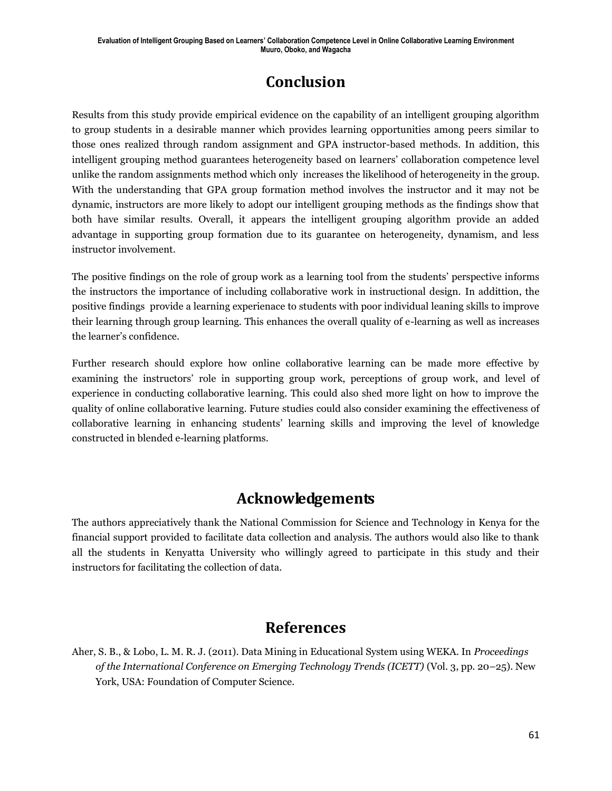# **Conclusion**

Results from this study provide empirical evidence on the capability of an intelligent grouping algorithm to group students in a desirable manner which provides learning opportunities among peers similar to those ones realized through random assignment and GPA instructor-based methods. In addition, this intelligent grouping method guarantees heterogeneity based on learners' collaboration competence level unlike the random assignments method which only increases the likelihood of heterogeneity in the group. With the understanding that GPA group formation method involves the instructor and it may not be dynamic, instructors are more likely to adopt our intelligent grouping methods as the findings show that both have similar results. Overall, it appears the intelligent grouping algorithm provide an added advantage in supporting group formation due to its guarantee on heterogeneity, dynamism, and less instructor involvement.

The positive findings on the role of group work as a learning tool from the students' perspective informs the instructors the importance of including collaborative work in instructional design. In addittion, the positive findings provide a learning experienace to students with poor individual leaning skills to improve their learning through group learning. This enhances the overall quality of e-learning as well as increases the learner's confidence.

Further research should explore how online collaborative learning can be made more effective by examining the instructors' role in supporting group work, perceptions of group work, and level of experience in conducting collaborative learning. This could also shed more light on how to improve the quality of online collaborative learning. Future studies could also consider examining the effectiveness of collaborative learning in enhancing students' learning skills and improving the level of knowledge constructed in blended e-learning platforms.

# **Acknowledgements**

The authors appreciatively thank the National Commission for Science and Technology in Kenya for the financial support provided to facilitate data collection and analysis. The authors would also like to thank all the students in Kenyatta University who willingly agreed to participate in this study and their instructors for facilitating the collection of data.

# **References**

Aher, S. B., & Lobo, L. M. R. J. (2011). Data Mining in Educational System using WEKA. In *Proceedings of the International Conference on Emerging Technology Trends (ICETT)* (Vol. 3, pp. 20–25). New York, USA: Foundation of Computer Science.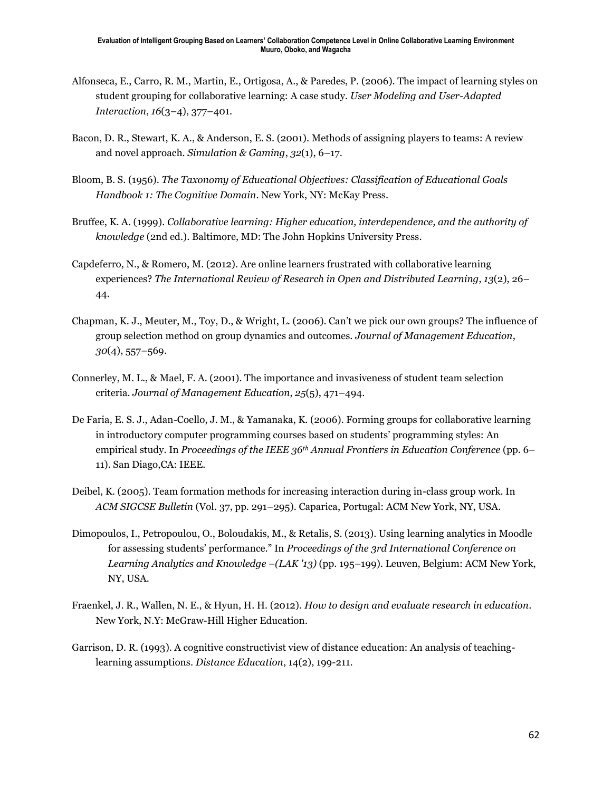- Alfonseca, E., Carro, R. M., Martin, E., Ortigosa, A., & Paredes, P. (2006). The impact of learning styles on student grouping for collaborative learning: A case study. *User Modeling and User-Adapted Interaction*, *16*(3–4), 377–401.
- Bacon, D. R., Stewart, K. A., & Anderson, E. S. (2001). Methods of assigning players to teams: A review and novel approach. *Simulation & Gaming*, *32*(1), 6–17.
- Bloom, B. S. (1956). *The Taxonomy of Educational Objectives: Classification of Educational Goals Handbook 1: The Cognitive Domain*. New York, NY: McKay Press.
- Bruffee, K. A. (1999). *Collaborative learning: Higher education, interdependence, and the authority of knowledge* (2nd ed.). Baltimore, MD: The John Hopkins University Press.
- Capdeferro, N., & Romero, M. (2012). Are online learners frustrated with collaborative learning experiences? *The International Review of Research in Open and Distributed Learning*, *13*(2), 26– 44.
- Chapman, K. J., Meuter, M., Toy, D., & Wright, L. (2006). Can't we pick our own groups? The influence of group selection method on group dynamics and outcomes. *Journal of Management Education*, *30*(4), 557–569.
- Connerley, M. L., & Mael, F. A. (2001). The importance and invasiveness of student team selection criteria. *Journal of Management Education*, *25*(5), 471–494.
- De Faria, E. S. J., Adan-Coello, J. M., & Yamanaka, K. (2006). Forming groups for collaborative learning in introductory computer programming courses based on students' programming styles: An empirical study. In *Proceedings of the IEEE 36th Annual Frontiers in Education Conference* (pp. 6– 11). San Diago,CA: IEEE.
- Deibel, K. (2005). Team formation methods for increasing interaction during in-class group work. In *ACM SIGCSE Bulletin* (Vol. 37, pp. 291–295). Caparica, Portugal: ACM New York, NY, USA.
- Dimopoulos, I., Petropoulou, O., Boloudakis, M., & Retalis, S. (2013). Using learning analytics in Moodle for assessing students' performance." In *Proceedings of the 3rd International Conference on Learning Analytics and Knowledge –(LAK '13)* (pp. 195–199). Leuven, Belgium: ACM New York, NY, USA.
- Fraenkel, J. R., Wallen, N. E., & Hyun, H. H. (2012). *How to design and evaluate research in education*. New York, N.Y: McGraw-Hill Higher Education.
- Garrison, D. R. (1993). A cognitive constructivist view of distance education: An analysis of teachinglearning assumptions. *Distance Education*, 14(2), 199-211.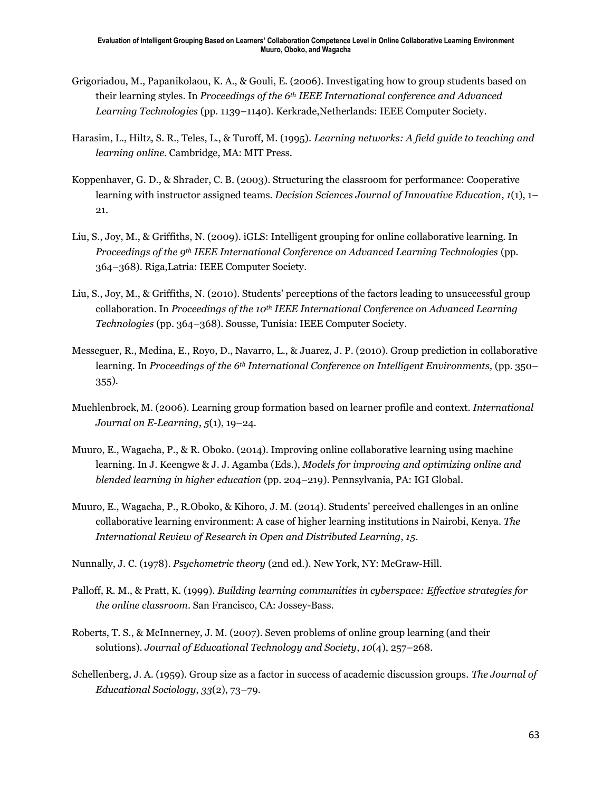- Grigoriadou, M., Papanikolaou, K. A., & Gouli, E. (2006). Investigating how to group students based on their learning styles. In *Proceedings of the 6th IEEE International conference and Advanced Learning Technologies* (pp. 1139–1140). Kerkrade,Netherlands: IEEE Computer Society.
- Harasim, L., Hiltz, S. R., Teles, L., & Turoff, M. (1995). *Learning networks: A field guide to teaching and learning online*. Cambridge, MA: MIT Press.
- Koppenhaver, G. D., & Shrader, C. B. (2003). Structuring the classroom for performance: Cooperative learning with instructor assigned teams. *Decision Sciences Journal of Innovative Education*, *1*(1), 1– 21.
- Liu, S., Joy, M., & Griffiths, N. (2009). iGLS: Intelligent grouping for online collaborative learning. In *Proceedings of the 9th IEEE International Conference on Advanced Learning Technologies* (pp. 364–368). Riga,Latria: IEEE Computer Society.
- Liu, S., Joy, M., & Griffiths, N. (2010). Students' perceptions of the factors leading to unsuccessful group collaboration. In *Proceedings of the 10th IEEE International Conference on Advanced Learning Technologies* (pp. 364–368). Sousse, Tunisia: IEEE Computer Society.
- Messeguer, R., Medina, E., Royo, D., Navarro, L., & Juarez, J. P. (2010). Group prediction in collaborative learning. In *Proceedings of the 6th International Conference on Intelligent Environments,* (pp. 350– 355).
- Muehlenbrock, M. (2006). Learning group formation based on learner profile and context. *International Journal on E-Learning*, *5*(1), 19–24.
- Muuro, E., Wagacha, P., & R. Oboko. (2014). Improving online collaborative learning using machine learning. In J. Keengwe & J. J. Agamba (Eds.), *Models for improving and optimizing online and blended learning in higher education* (pp. 204–219). Pennsylvania, PA: IGI Global.
- Muuro, E., Wagacha, P., R.Oboko, & Kihoro, J. M. (2014). Students' perceived challenges in an online collaborative learning environment: A case of higher learning institutions in Nairobi, Kenya. *The International Review of Research in Open and Distributed Learning*, *15*.
- Nunnally, J. C. (1978). *Psychometric theory* (2nd ed.). New York, NY: McGraw-Hill.
- Palloff, R. M., & Pratt, K. (1999). *Building learning communities in cyberspace: Effective strategies for the online classroom*. San Francisco, CA: Jossey-Bass.
- Roberts, T. S., & McInnerney, J. M. (2007). Seven problems of online group learning (and their solutions). *Journal of Educational Technology and Society*, *10*(4), 257–268.
- Schellenberg, J. A. (1959). Group size as a factor in success of academic discussion groups. *The Journal of Educational Sociology*, *33*(2), 73–79.